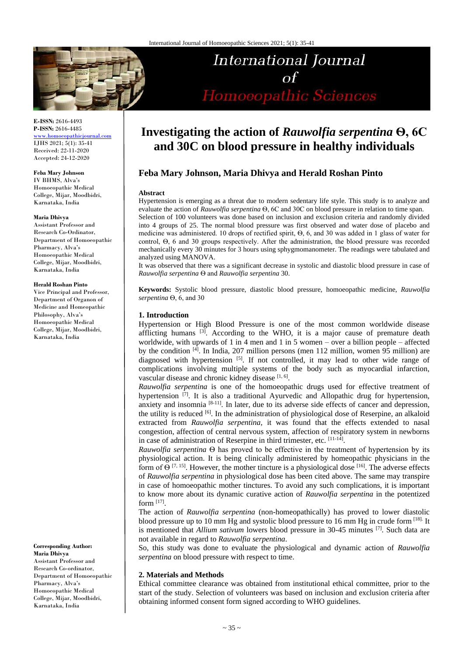

**E-ISSN:** 2616-4493 **P-ISSN:** 2616-4485 [www.homoeopathicjournal.com](file://///Server/test/homoeopathicjournal/issue/vol%204/issue%201/www.homoeopathicjournal.com)

IJHS 2021; 5(1): 35-41 Received: 22-11-2020 Accepted: 24-12-2020

**Feba Mary Johnson**

IV BHMS, Alva's Homoeopathic Medical College, Mijar, Moodbidri, Karnataka, India

#### **Maria Dhivya**

Assistant Professor and Research Co-Ordinator, Department of Homoeopathic Pharmacy, Alva's Homoeopathic Medical College, Mijar, Moodbidri, Karnataka, India

#### **Herald Roshan Pinto**

Vice Principal and Professor, Department of Organon of Medicine and Homeopathic Philosophy, Alva's Homoeopathic Medical College, Mijar, Moodbidri, Karnataka, India

**Maria Dhivya** Assistant Professor and Research Co-ordinator, Department of Homoeopathic Pharmacy, Alva's

**Corresponding Author:**

Homoeopathic Medical College, Mijar, Moodbidri, Karnataka, India

# Homoeopathic Sciences

International Journal

# **Investigating the action of** *Rauwolfia serpentina* **Ѳ, 6C and 30C on blood pressure in healthy individuals**

# **Feba Mary Johnson, Maria Dhivya and Herald Roshan Pinto**

#### **Abstract**

Hypertension is emerging as a threat due to modern sedentary life style. This study is to analyze and evaluate the action of *Rauwolfia serpentina* Ѳ, 6C and 30C on blood pressure in relation to time span. Selection of 100 volunteers was done based on inclusion and exclusion criteria and randomly divided into 4 groups of 25. The normal blood pressure was first observed and water dose of placebo and medicine was administered. 10 drops of rectified spirit, Ѳ, 6, and 30 was added in 1 glass of water for control, Ѳ, 6 and 30 groups respectively. After the administration, the blood pressure was recorded mechanically every 30 minutes for 3 hours using sphygmomanometer. The readings were tabulated and analyzed using MANOVA.

It was observed that there was a significant decrease in systolic and diastolic blood pressure in case of *Rauwolfia serpentina* Ѳ and *Rauwolfia serpentina* 30.

**Keywords:** Systolic blood pressure, diastolic blood pressure, homoeopathic medicine, *Rauwolfia serpentina* Ѳ, 6, and 30

#### **1. Introduction**

Hypertension or High Blood Pressure is one of the most common worldwide disease afflicting humans  $[3]$ . According to the WHO, it is a major cause of premature death worldwide, with upwards of 1 in 4 men and 1 in 5 women – over a billion people – affected by the condition <sup>[4]</sup>. In India, 207 million persons (men 112 million, women 95 million) are diagnosed with hypertension  $\begin{bmatrix}5\end{bmatrix}$ . If not controlled, it may lead to other wide range of complications involving multiple systems of the body such as myocardial infarction, vascular disease and chronic kidney disease [1, 6].

*Rauwolfia serpentina* is one of the homoeopathic drugs used for effective treatment of hypertension  $[7]$ . It is also a traditional Ayurvedic and Allopathic drug for hypertension, anxiety and insomnia [8-11]. In later, due to its adverse side effects of cancer and depression, the utility is reduced <sup>[6]</sup>. In the administration of physiological dose of Reserpine, an alkaloid extracted from *Rauwolfia serpentina,* it was found that the effects extended to nasal congestion, affection of central nervous system, affection of respiratory system in newborns in case of administration of Reserpine in third trimester, etc. [11-14].

*Rauwolfia serpentina* Ѳ has proved to be effective in the treatment of hypertension by its physiological action. It is being clinically administered by homeopathic physicians in the form of  $\Theta$  [7, 15]. However, the mother tincture is a physiological dose [16]. The adverse effects of *Rauwolfia serpentina* in physiological dose has been cited above. The same may transpire in case of homoeopathic mother tinctures. To avoid any such complications, it is important to know more about its dynamic curative action of *Rauwolfia serpentina* in the potentized form [17] .

The action of *Rauwolfia serpentina* (non-homeopathically) has proved to lower diastolic blood pressure up to 10 mm Hg and systolic blood pressure to 16 mm Hg in crude form <sup>[18].</sup> It is mentioned that *Allium sativum* lowers blood pressure in 30-45 minutes [7]. Such data are not available in regard to *Rauwolfia serpentina*.

So, this study was done to evaluate the physiological and dynamic action of *Rauwolfia serpentina* on blood pressure with respect to time.

#### **2. Materials and Methods**

Ethical committee clearance was obtained from institutional ethical committee, prior to the start of the study. Selection of volunteers was based on inclusion and exclusion criteria after obtaining informed consent form signed according to WHO guidelines.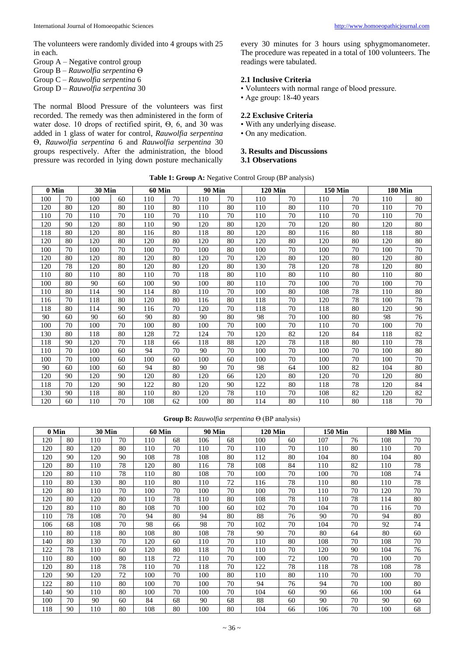The volunteers were randomly divided into 4 groups with 25 in each.

- Group A Negative control group
- Group B *Rauwolfia serpentina* Ѳ
- Group C *Rauwolfia serpentina* 6
- Group D *Rauwolfia serpentina* 30

The normal Blood Pressure of the volunteers was first recorded. The remedy was then administered in the form of water dose. 10 drops of rectified spirit,  $Θ$ , 6, and 30 was added in 1 glass of water for control, *Rauwolfia serpentina* Ѳ, *Rauwolfia serpentina* 6 and *Rauwolfia serpentina* 30 groups respectively. After the administration, the blood pressure was recorded in lying down posture mechanically every 30 minutes for 3 hours using sphygmomanometer. The procedure was repeated in a total of 100 volunteers. The readings were tabulated.

#### **2.1 Inclusive Criteria**

- Volunteers with normal range of blood pressure.
- Age group: 18-40 years

#### **2.2 Exclusive Criteria**

- With any underlying disease.
- On any medication.

#### **3. Results and Discussions 3.1 Observations**

| Table 1: Group A: Negative Control Group (BP analysis) |  |  |  |
|--------------------------------------------------------|--|--|--|
|--------------------------------------------------------|--|--|--|

| 0 Min |    | <b>30 Min</b> |    | <b>60 Min</b> |    | <b>90 Min</b> |    | <b>120 Min</b> |    | <b>150 Min</b> |    | <b>180 Min</b> |    |
|-------|----|---------------|----|---------------|----|---------------|----|----------------|----|----------------|----|----------------|----|
| 100   | 70 | 100           | 60 | 110           | 70 | 110           | 70 | 110            | 70 | 110            | 70 | 110            | 80 |
| 120   | 80 | 120           | 80 | 110           | 80 | 110           | 80 | 110            | 80 | 110            | 70 | 110            | 70 |
| 110   | 70 | 110           | 70 | 110           | 70 | 110           | 70 | 110            | 70 | 110            | 70 | 110            | 70 |
| 120   | 90 | 120           | 80 | 110           | 90 | 120           | 80 | 120            | 70 | 120            | 80 | 120            | 80 |
| 118   | 80 | 120           | 80 | 116           | 80 | 118           | 80 | 120            | 80 | 116            | 80 | 118            | 80 |
| 120   | 80 | 120           | 80 | 120           | 80 | 120           | 80 | 120            | 80 | 120            | 80 | 120            | 80 |
| 100   | 70 | 100           | 70 | 100           | 70 | 100           | 80 | 100            | 70 | 100            | 70 | 100            | 70 |
| 120   | 80 | 120           | 80 | 120           | 80 | 120           | 70 | 120            | 80 | 120            | 80 | 120            | 80 |
| 120   | 78 | 120           | 80 | 120           | 80 | 120           | 80 | 130            | 78 | 120            | 78 | 120            | 80 |
| 110   | 80 | 110           | 80 | 110           | 70 | 118           | 80 | 110            | 80 | 110            | 80 | 110            | 80 |
| 100   | 80 | 90            | 60 | 100           | 90 | 100           | 80 | 110            | 70 | 100            | 70 | 100            | 70 |
| 110   | 80 | 114           | 90 | 114           | 80 | 110           | 70 | 100            | 80 | 108            | 78 | 110            | 80 |
| 116   | 70 | 118           | 80 | 120           | 80 | 116           | 80 | 118            | 70 | 120            | 78 | 100            | 78 |
| 118   | 80 | 114           | 90 | 116           | 70 | 120           | 70 | 118            | 70 | 118            | 80 | 120            | 90 |
| 90    | 60 | 90            | 60 | 90            | 80 | 90            | 80 | 98             | 70 | 100            | 80 | 98             | 76 |
| 100   | 70 | 100           | 70 | 100           | 80 | 100           | 70 | 100            | 70 | 110            | 70 | 100            | 70 |
| 130   | 80 | 118           | 80 | 128           | 72 | 124           | 70 | 120            | 82 | 120            | 84 | 118            | 82 |
| 118   | 90 | 120           | 70 | 118           | 66 | 118           | 88 | 120            | 78 | 118            | 80 | 110            | 78 |
| 110   | 70 | 100           | 60 | 94            | 70 | 90            | 70 | 100            | 70 | 100            | 70 | 100            | 80 |
| 100   | 70 | 100           | 60 | 100           | 60 | 100           | 60 | 100            | 70 | 100            | 70 | 100            | 70 |
| 90    | 60 | 100           | 60 | 94            | 80 | 90            | 70 | 98             | 64 | 100            | 82 | 104            | 80 |
| 120   | 90 | 120           | 90 | 120           | 80 | 120           | 66 | 120            | 80 | 120            | 70 | 120            | 80 |
| 118   | 70 | 120           | 90 | 122           | 80 | 120           | 90 | 122            | 80 | 118            | 78 | 120            | 84 |
| 130   | 90 | 118           | 80 | 110           | 80 | 120           | 78 | 110            | 70 | 108            | 82 | 120            | 82 |
| 120   | 60 | 110           | 70 | 108           | 62 | 100           | 80 | 114            | 80 | 110            | 80 | 118            | 70 |

**Group B:** *Rauwolfia serpentina* Ѳ (BP analysis)

| $0$ Min |    | <b>30 Min</b> |    | <b>60 Min</b> |    | <b>90 Min</b> |    | <b>120 Min</b> |    | <b>150 Min</b> |    | <b>180 Min</b> |    |
|---------|----|---------------|----|---------------|----|---------------|----|----------------|----|----------------|----|----------------|----|
| 120     | 80 | 110           | 70 | 110           | 68 | 106           | 68 | 100            | 60 | 107            | 76 | 108            | 70 |
| 120     | 80 | 120           | 80 | 110           | 70 | 110           | 70 | 110            | 70 | 110            | 80 | 110            | 70 |
| 120     | 90 | 120           | 90 | 108           | 78 | 108           | 80 | 112            | 80 | 104            | 80 | 104            | 80 |
| 120     | 80 | 110           | 78 | 120           | 80 | 116           | 78 | 108            | 84 | 110            | 82 | 110            | 78 |
| 120     | 80 | 110           | 78 | 110           | 80 | 108           | 70 | 100            | 70 | 100            | 70 | 108            | 74 |
| 110     | 80 | 130           | 80 | 110           | 80 | 110           | 72 | 116            | 78 | 110            | 80 | 110            | 78 |
| 120     | 80 | 110           | 70 | 100           | 70 | 100           | 70 | 100            | 70 | 110            | 70 | 120            | 70 |
| 120     | 80 | 120           | 80 | 110           | 78 | 110           | 80 | 108            | 78 | 110            | 78 | 114            | 80 |
| 120     | 80 | 110           | 80 | 108           | 70 | 100           | 60 | 102            | 70 | 104            | 70 | 116            | 70 |
| 110     | 78 | 108           | 70 | 94            | 80 | 94            | 80 | 88             | 76 | 90             | 70 | 94             | 80 |
| 106     | 68 | 108           | 70 | 98            | 66 | 98            | 70 | 102            | 70 | 104            | 70 | 92             | 74 |
| 110     | 80 | 118           | 80 | 108           | 80 | 108           | 78 | 90             | 70 | 80             | 64 | 80             | 60 |
| 140     | 80 | 130           | 70 | 120           | 60 | 110           | 70 | 110            | 80 | 108            | 70 | 108            | 70 |
| 122     | 78 | 110           | 60 | 120           | 80 | 118           | 70 | 110            | 70 | 120            | 90 | 104            | 76 |
| 110     | 80 | 100           | 80 | 118           | 72 | 110           | 70 | 100            | 72 | 100            | 70 | 100            | 70 |
| 120     | 80 | 118           | 78 | 110           | 70 | 118           | 70 | 122            | 78 | 118            | 78 | 108            | 78 |
| 120     | 90 | 120           | 72 | 100           | 70 | 100           | 80 | 110            | 80 | 110            | 70 | 100            | 70 |
| 122     | 80 | 110           | 80 | 100           | 70 | 100           | 70 | 94             | 76 | 94             | 70 | 100            | 80 |
| 140     | 90 | 110           | 80 | 100           | 70 | 100           | 70 | 104            | 60 | 90             | 66 | 100            | 64 |
| 100     | 70 | 90            | 60 | 84            | 68 | 90            | 68 | 88             | 60 | 90             | 70 | 90             | 60 |
| 118     | 90 | 110           | 80 | 108           | 80 | 100           | 80 | 104            | 66 | 106            | 70 | 100            | 68 |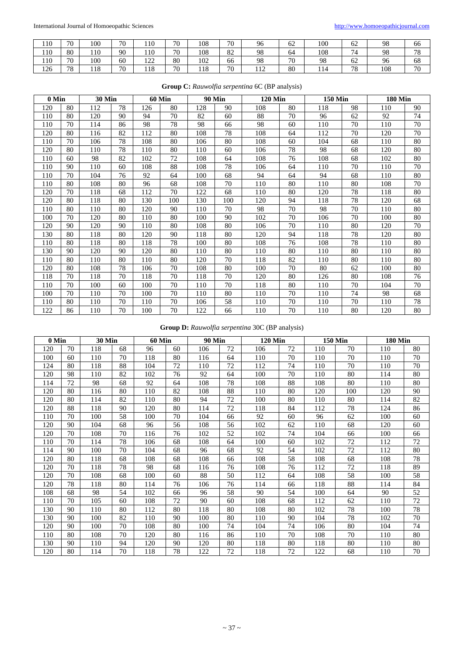| 110 | 70 | 100 | 70 | 110                   | 70 | 108 | 70 | 96         | 62 | 100 | $\sim$<br>02 | 98  | 66       |
|-----|----|-----|----|-----------------------|----|-----|----|------------|----|-----|--------------|-----|----------|
| 110 | 80 | 110 | 90 | 110                   | 70 | 108 | 82 | 98         | 64 | 108 | 74           | 98  | 70<br>78 |
| 110 | 70 | 100 | 60 | 122<br>$\overline{1}$ | 80 | 102 | 66 | 98         | 70 | 98  | 62           | 96  | 68       |
| 126 | 78 | 118 | 70 | 118                   | 70 | 118 | 70 | 110<br>114 | 80 |     | 78           | 108 | 70       |

| 0 Min |    | <b>30 Min</b> |    | <b>60 Min</b> |     | <b>90 Min</b> |     | <b>120 Min</b> |    | <b>150 Min</b> |    | <b>180 Min</b> |    |
|-------|----|---------------|----|---------------|-----|---------------|-----|----------------|----|----------------|----|----------------|----|
| 120   | 80 | 112           | 78 | 126           | 80  | 128           | 90  | 108            | 80 | 118            | 98 | 110            | 90 |
| 110   | 80 | 120           | 90 | 94            | 70  | 82            | 60  | 88             | 70 | 96             | 62 | 92             | 74 |
| 110   | 70 | 114           | 86 | 98            | 78  | 98            | 66  | 98             | 60 | 110            | 70 | 110            | 70 |
| 120   | 80 | 116           | 82 | 112           | 80  | 108           | 78  | 108            | 64 | 112            | 70 | 120            | 70 |
| 110   | 70 | 106           | 78 | 108           | 80  | 106           | 80  | 108            | 60 | 104            | 68 | 110            | 80 |
| 120   | 80 | 110           | 78 | 110           | 80  | 110           | 60  | 106            | 78 | 98             | 68 | 120            | 80 |
| 110   | 60 | 98            | 82 | 102           | 72  | 108           | 64  | 108            | 76 | 108            | 68 | 102            | 80 |
| 110   | 90 | 110           | 60 | 108           | 88  | 108           | 78  | 106            | 64 | 110            | 70 | 110            | 70 |
| 110   | 70 | 104           | 76 | 92            | 64  | 100           | 68  | 94             | 64 | 94             | 68 | 110            | 80 |
| 110   | 80 | 108           | 80 | 96            | 68  | 108           | 70  | 110            | 80 | 110            | 80 | 108            | 70 |
| 120   | 70 | 118           | 68 | 112           | 70  | 122           | 68  | 110            | 80 | 120            | 78 | 118            | 80 |
| 120   | 80 | 118           | 80 | 130           | 100 | 130           | 100 | 120            | 94 | 118            | 78 | 120            | 68 |
| 110   | 80 | 110           | 80 | 120           | 90  | 110           | 70  | 98             | 70 | 98             | 70 | 110            | 80 |
| 100   | 70 | 120           | 80 | 110           | 80  | 100           | 90  | 102            | 70 | 106            | 70 | 100            | 80 |
| 120   | 90 | 120           | 90 | 110           | 80  | 108           | 80  | 106            | 70 | 110            | 80 | 120            | 70 |
| 130   | 80 | 118           | 80 | 120           | 90  | 118           | 80  | 120            | 94 | 118            | 78 | 120            | 80 |
| 110   | 80 | 118           | 80 | 118           | 78  | 100           | 80  | 108            | 76 | 108            | 78 | 110            | 80 |
| 130   | 90 | 120           | 90 | 120           | 80  | 110           | 80  | 110            | 80 | 110            | 80 | 110            | 80 |
| 110   | 80 | 110           | 80 | 110           | 80  | 120           | 70  | 118            | 82 | 110            | 80 | 110            | 80 |
| 120   | 80 | 108           | 78 | 106           | 70  | 108           | 80  | 100            | 70 | 80             | 62 | 100            | 80 |
| 118   | 70 | 118           | 70 | 118           | 70  | 118           | 70  | 120            | 80 | 126            | 80 | 108            | 76 |
| 110   | 70 | 100           | 60 | 100           | 70  | 110           | 70  | 118            | 80 | 110            | 70 | 104            | 70 |
| 100   | 70 | 110           | 70 | 100           | 70  | 110           | 80  | 110            | 70 | 110            | 74 | 98             | 68 |
| 110   | 80 | 110           | 70 | 110           | 70  | 106           | 58  | 110            | 70 | 110            | 70 | 110            | 78 |
| 122   | 86 | 110           | 70 | 100           | 70  | 122           | 66  | 110            | 70 | 110            | 80 | 120            | 80 |

# **Group C:** *Rauwolfia serpentina* 6C (BP analysis)

**Group D:** *Rauwolfia serpentina* 30C (BP analysis)

| 0 Min |    | <b>30 Min</b> |    | <b>60 Min</b> |    | <b>90 Min</b> |    | <b>120 Min</b> |    |     | <b>150 Min</b> | <b>180 Min</b> |    |
|-------|----|---------------|----|---------------|----|---------------|----|----------------|----|-----|----------------|----------------|----|
| 120   | 70 | 118           | 68 | 96            | 60 | 106           | 72 | 106            | 72 | 110 | 70             | 110            | 80 |
| 100   | 60 | 110           | 70 | 118           | 80 | 116           | 64 | 110            | 70 | 110 | 70             | 110            | 70 |
| 124   | 80 | 118           | 88 | 104           | 72 | 110           | 72 | 112            | 74 | 110 | 70             | 110            | 70 |
| 120   | 98 | 110           | 82 | 102           | 76 | 92            | 64 | 100            | 70 | 110 | 80             | 114            | 80 |
| 114   | 72 | 98            | 68 | 92            | 64 | 108           | 78 | 108            | 88 | 108 | 80             | 110            | 80 |
| 120   | 80 | 116           | 80 | 110           | 82 | 108           | 88 | 110            | 80 | 120 | 100            | 120            | 90 |
| 120   | 80 | 114           | 82 | 110           | 80 | 94            | 72 | 100            | 80 | 110 | 80             | 114            | 82 |
| 120   | 88 | 118           | 90 | 120           | 80 | 114           | 72 | 118            | 84 | 112 | 78             | 124            | 86 |
| 110   | 70 | 100           | 58 | 100           | 70 | 104           | 66 | 92             | 60 | 96  | 62             | 100            | 60 |
| 120   | 90 | 104           | 68 | 96            | 56 | 108           | 56 | 102            | 62 | 110 | 68             | 120            | 60 |
| 120   | 70 | 108           | 70 | 116           | 76 | 102           | 52 | 102            | 74 | 104 | 66             | 100            | 66 |
| 110   | 70 | 114           | 78 | 106           | 68 | 108           | 64 | 100            | 60 | 102 | 72             | 112            | 72 |
| 114   | 90 | 100           | 70 | 104           | 68 | 96            | 68 | 92             | 54 | 102 | 72             | 112            | 80 |
| 120   | 80 | 118           | 68 | 108           | 68 | 108           | 66 | 108            | 58 | 108 | 68             | 108            | 78 |
| 120   | 70 | 118           | 78 | 98            | 68 | 116           | 76 | 108            | 76 | 112 | 72             | 118            | 89 |
| 120   | 70 | 108           | 68 | 100           | 60 | 88            | 50 | 112            | 64 | 108 | 58             | 100            | 58 |
| 120   | 78 | 118           | 80 | 114           | 76 | 106           | 76 | 114            | 66 | 118 | 88             | 114            | 84 |
| 108   | 68 | 98            | 54 | 102           | 66 | 96            | 58 | 90             | 54 | 100 | 64             | 90             | 52 |
| 110   | 70 | 105           | 60 | 108           | 72 | 90            | 60 | 108            | 68 | 112 | 62             | 110            | 72 |
| 130   | 90 | 110           | 80 | 112           | 80 | 118           | 80 | 108            | 80 | 102 | 78             | 100            | 78 |
| 130   | 90 | 100           | 82 | 110           | 90 | 100           | 80 | 110            | 90 | 104 | 78             | 102            | 70 |
| 120   | 90 | 100           | 70 | 108           | 80 | 100           | 74 | 104            | 74 | 106 | 80             | 104            | 74 |
| 110   | 80 | 108           | 70 | 120           | 80 | 116           | 86 | 110            | 70 | 108 | 70             | 110            | 80 |
| 130   | 90 | 110           | 94 | 120           | 90 | 120           | 80 | 118            | 80 | 118 | 80             | 110            | 80 |
| 120   | 80 | 114           | 70 | 118           | 78 | 122           | 72 | 118            | 72 | 122 | 68             | 110            | 70 |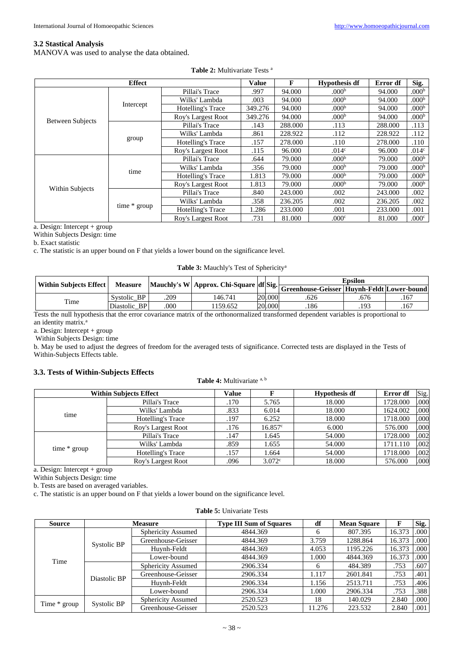#### **3.2 Stastical Analysis**

MANOVA was used to analyse the data obtained.

|                         | <b>Effect</b> |                          | <b>Value</b> | F       | <b>Hypothesis df</b> | Error df | Sig.              |
|-------------------------|---------------|--------------------------|--------------|---------|----------------------|----------|-------------------|
|                         |               | Pillai's Trace           | .997         | 94.000  | .000 <sup>b</sup>    | 94.000   | .000 <sup>b</sup> |
|                         | Intercept     | Wilks' Lambda            | .003         | 94.000  | .000 <sup>b</sup>    | 94.000   | .000 <sup>b</sup> |
|                         |               | Hotelling's Trace        | 349.276      | 94.000  | .000 <sup>b</sup>    | 94.000   | .000 <sup>b</sup> |
| <b>Between Subjects</b> |               | Roy's Largest Root       | 349.276      | 94.000  | .000 <sup>b</sup>    | 94.000   | .000 <sup>b</sup> |
|                         |               | Pillai's Trace           | .143         | 288.000 | .113                 | 288.000  | .113              |
|                         | group         | Wilks' Lambda            | .861         | 228.922 | .112                 | 228.922  | .112              |
|                         |               | Hotelling's Trace        | .157         | 278.000 | .110                 | 278.000  | .110              |
|                         |               | Roy's Largest Root       | .115         | 96.000  | .014 <sup>c</sup>    | 96.000   | .014 <sup>c</sup> |
|                         |               | Pillai's Trace           | .644         | 79.000  | .000 <sup>b</sup>    | 79.000   | .000 <sup>b</sup> |
|                         | time          | Wilks' Lambda            | .356         | 79.000  | .000 <sup>b</sup>    | 79.000   | .000 <sup>b</sup> |
|                         |               | <b>Hotelling's Trace</b> | 1.813        | 79.000  | .000 <sup>b</sup>    | 79.000   | .000 <sup>b</sup> |
|                         |               | Roy's Largest Root       | 1.813        | 79.000  | .000 <sup>b</sup>    | 79.000   | .000 <sup>b</sup> |
| Within Subjects         |               | Pillai's Trace           | .840         | 243.000 | .002                 | 243.000  | .002              |
|                         |               | Wilks' Lambda            | .358         | 236.205 | .002                 | 236.205  | .002              |
|                         | time * group  | Hotelling's Trace        | 1.286        | 233.000 | .001                 | 233.000  | .001              |
|                         |               | Roy's Largest Root       | .731         | 81.000  | .000c                | 81.000   | .000c             |

a. Design: Intercept + group

Within Subjects Design: time

b. Exact statistic

c. The statistic is an upper bound on F that yields a lower bound on the significance level.

**Table 3:** Mauchly's Test of Sphericity<sup>a</sup>

| <b>Within Subjects Effect</b> |                |      |         |  |        | <b>Epsilon</b><br>Mauchly's W Approx. Chi-Square df Sig. Greenhouse-Geisser Huynh-Feldt Lower-bound |      |      |  |  |
|-------------------------------|----------------|------|---------|--|--------|-----------------------------------------------------------------------------------------------------|------|------|--|--|
|                               | <b>Measure</b> |      |         |  |        |                                                                                                     |      |      |  |  |
|                               | Systolic BP    | .209 | 146.741 |  | 20.000 | .626                                                                                                | .676 | .167 |  |  |
| Time                          | Diastolic BP   | 000  | 159.652 |  | 20,000 | .186                                                                                                | .193 | .167 |  |  |

Tests the null hypothesis that the error covariance matrix of the orthonormalized transformed dependent variables is proportional to an identity matrix.<sup>a</sup>

a. Design: Intercept + group

Within Subjects Design: time

b. May be used to adjust the degrees of freedom for the averaged tests of significance. Corrected tests are displayed in the Tests of Within-Subjects Effects table.

## **3.3. Tests of Within-Subjects Effects**

#### **Table 4:** Multivariate a, <sup>b</sup>

|              | <b>Within Subjects Effect</b> | Value |                 | <b>Hypothesis df</b> | Error df | Sig. |
|--------------|-------------------------------|-------|-----------------|----------------------|----------|------|
|              | Pillai's Trace                | .170  | 5.765           | 18.000               | 1728.000 | .000 |
| time         | Wilks' Lambda                 | .833  | 6.014           | 18.000               | 1624.002 | .000 |
|              | Hotelling's Trace             | .197  | 6.252           | 18.000               | 1718.000 | .000 |
|              | Roy's Largest Root            | .176  | 16.857c         | 6.000                | 576.000  | .000 |
|              | Pillai's Trace                | .147  | 1.645           | 54.000               | 1728.000 | .002 |
| time * group | Wilks' Lambda                 | .859  | 1.655           | 54.000               | 1711.110 | .002 |
|              | Hotelling's Trace             | .157  | 1.664           | 54.000               | 1718.000 | .002 |
|              | Roy's Largest Root            | .096  | $3.072^{\circ}$ | 18.000               | 576.000  | .000 |

a. Design: Intercept + group

Within Subjects Design: time

b. Tests are based on averaged variables.

c. The statistic is an upper bound on F that yields a lower bound on the significance level.

|  | <b>Table 5: Univariate Tests</b> |  |
|--|----------------------------------|--|
|--|----------------------------------|--|

| <b>Source</b> |              | <b>Measure</b>            | <b>Type III Sum of Squares</b> | df     | <b>Mean Square</b> |        | Sig. |
|---------------|--------------|---------------------------|--------------------------------|--------|--------------------|--------|------|
|               |              | <b>Sphericity Assumed</b> | 4844.369                       | 6      | 807.395            | 16.373 | .000 |
| Time          | Systolic BP  | Greenhouse-Geisser        | 4844.369                       | 3.759  | 1288.864           | 16.373 | .000 |
|               |              | Huynh-Feldt               | 4844.369                       | 4.053  | 1195.226           | 16.373 | .000 |
|               |              | Lower-bound               | 4844.369                       | .000   | 4844.369           | 16.373 | .000 |
|               | Diastolic BP | <b>Sphericity Assumed</b> | 2906.334                       | 6      | 484.389            | .753   | .607 |
|               |              | Greenhouse-Geisser        | 2906.334                       | 1.117  | 2601.841           | .753   | .401 |
|               |              | Huynh-Feldt               | 2906.334                       | 1.156  | 2513.711           | .753   | .406 |
|               |              | Lower-bound               | 2906.334                       | 1.000  | 2906.334           | .753   | .388 |
| Time * group  |              | <b>Sphericity Assumed</b> | 2520.523                       | 18     | 140.029            | 2.840  | .000 |
|               | Systolic BP  | Greenhouse-Geisser        | 2520.523                       | 11.276 | 223.532            | 2.840  | .001 |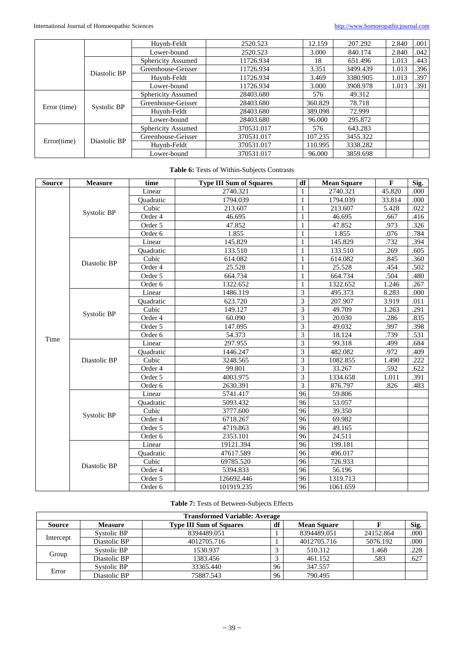|              |              | Huynh-Feldt               | 2520.523   | 12.159  | 207.292  | 2.840 | .001 |
|--------------|--------------|---------------------------|------------|---------|----------|-------|------|
|              |              | Lower-bound               | 2520.523   | 3.000   | 840.174  | 2.840 | .042 |
|              | Diastolic BP | <b>Sphericity Assumed</b> | 11726.934  | 18      | 651.496  | 1.013 | .443 |
|              |              | Greenhouse-Geisser        | 11726.934  | 3.351   | 3499.439 | 1.013 | .396 |
|              |              | Huynh-Feldt               | 11726.934  | 3.469   | 3380.905 | 1.013 | .397 |
|              |              | Lower-bound               | 11726.934  | 3.000   | 3908.978 | 1.013 | .391 |
| Error (time) | Systolic BP  | Sphericity Assumed        | 28403.680  | 576     | 49.312   |       |      |
|              |              | Greenhouse-Geisser        | 28403.680  | 360.829 | 78.718   |       |      |
|              |              | Huynh-Feldt               | 28403.680  | 389.098 | 72.999   |       |      |
|              |              | Lower-bound               | 28403.680  | 96.000  | 295.872  |       |      |
| Error(time)  | Diastolic BP | <b>Sphericity Assumed</b> | 370531.017 | 576     | 643.283  |       |      |
|              |              | Greenhouse-Geisser        | 370531.017 | 107.235 | 3455.322 |       |      |
|              |              | Huynh-Feldt               | 370531.017 | 110.995 | 3338.282 |       |      |
|              |              | Lower-bound               | 370531.017 | 96.000  | 3859.698 |       |      |

# **Table 6:** Tests of Within-Subjects Contrasts

| <b>Source</b> | <b>Measure</b> | time      | <b>Type III Sum of Squares</b> | df                      | <b>Mean Square</b> | $\mathbf{F}$ | Sig. |
|---------------|----------------|-----------|--------------------------------|-------------------------|--------------------|--------------|------|
|               |                | Linear    | 2740.321                       | 1                       | 2740.321           | 45.820       | .000 |
|               |                | Ouadratic | 1794.039                       | 1                       | 1794.039           | 33.814       | .000 |
|               |                | Cubic     | 213.607                        | 1                       | 213.607            | 5.428        | .022 |
|               | Systolic BP    | Order 4   | 46.695                         | $\mathbf{1}$            | 46.695             | .667         | .416 |
|               |                | Order 5   | 47.852                         | $\mathbf{1}$            | 47.852             | .973         | .326 |
|               |                | Order 6   | 1.855                          | $\mathbf{1}$            | 1.855              | .076         | .784 |
|               |                | Linear    | 145.829                        | $\mathbf{1}$            | 145.829            | .732         | .394 |
|               |                | Quadratic | 133.510                        | 1                       | 133.510            | .269         | .605 |
|               | Diastolic BP   | Cubic     | 614.082                        | 1                       | 614.082            | .845         | .360 |
|               |                | Order 4   | 25.528                         | $\mathbf{1}$            | 25.528             | .454         | .502 |
|               |                | Order 5   | 664.734                        | $\mathbf{1}$            | 664.734            | .504         | .480 |
|               |                | Order 6   | 1322.652                       | 1                       | 1322.652           | 1.246        | .267 |
|               |                | Linear    | 1486.119                       | 3                       | 495.373            | 8.283        | .000 |
|               |                | Quadratic | 623.720                        | 3                       | 207.907            | 3.919        | .011 |
|               | Systolic BP    | Cubic     | 149.127                        | $\overline{\mathbf{3}}$ | 49.709             | 1.263        | .291 |
|               |                | Order 4   | 60.090                         | 3                       | 20.030             | .286         | .835 |
|               |                | Order 5   | 147.095                        | $\overline{3}$          | 49.032             | .997         | .398 |
| Time          |                | Order 6   | 54.373                         | 3                       | 18.124             | .739         | .531 |
|               | Diastolic BP   | Linear    | 297.955                        | 3                       | 99.318             | .499         | .684 |
|               |                | Quadratic | 1446.247                       | 3                       | 482.082            | .972         | .409 |
|               |                | Cubic     | 3248.565                       | 3                       | 1082.855           | 1.490        | .222 |
|               |                | Order 4   | 99.801                         | 3                       | 33.267             | .592         | .622 |
|               |                | Order 5   | 4003.975                       | 3                       | 1334.658           | 1.011        | .391 |
|               |                | Order 6   | 2630.391                       | 3                       | 876.797            | .826         | .483 |
|               | Systolic BP    | Linear    | 5741.417                       | 96                      | 59.806             |              |      |
|               |                | Quadratic | 5093.432                       | 96                      | 53.057             |              |      |
|               |                | Cubic     | 3777.600                       | 96                      | 39.350             |              |      |
|               |                | Order 4   | 6718.267                       | $\overline{96}$         | 69.982             |              |      |
|               |                | Order 5   | 4719.863                       | 96                      | 49.165             |              |      |
|               |                | Order 6   | 2353.101                       | 96                      | 24.511             |              |      |
|               | Diastolic BP   | Linear    | 19121.394                      | 96                      | 199.181            |              |      |
|               |                | Quadratic | 47617.589                      | 96                      | 496.017            |              |      |
|               |                | Cubic     | 69785.520                      | 96                      | 726.933            |              |      |
|               |                | Order 4   | 5394.833                       | $\overline{96}$         | 56.196             |              |      |
|               |                | Order 5   | 126692.446                     | 96                      | 1319.713           |              |      |
|               |                | Order 6   | 101919.235                     | 96                      | 1061.659           |              |      |

# **Table 7:** Tests of Between-Subjects Effects

| <b>Transformed Variable: Average</b> |                |                                |    |                    |           |      |  |  |  |
|--------------------------------------|----------------|--------------------------------|----|--------------------|-----------|------|--|--|--|
| Source                               | <b>Measure</b> | <b>Type III Sum of Squares</b> | df | <b>Mean Square</b> |           | Sig. |  |  |  |
| Intercept                            | Systolic BP    | 8394489.051                    |    | 8394489.051        | 24152.864 | .000 |  |  |  |
|                                      | Diastolic BP   | 4012705.716                    |    | 4012705.716        | 5076.192  | .000 |  |  |  |
| Group                                | Systolic BP    | 1530.937                       |    | 510.312            | 1.468     | .228 |  |  |  |
|                                      | Diastolic BP   | 1383.456                       |    | 461.152            | .583      | .627 |  |  |  |
| Error                                | Systolic BP    | 33365.440                      | 96 | 347.557            |           |      |  |  |  |
|                                      | Diastolic BP   | 75887.543                      | 96 | 790.495            |           |      |  |  |  |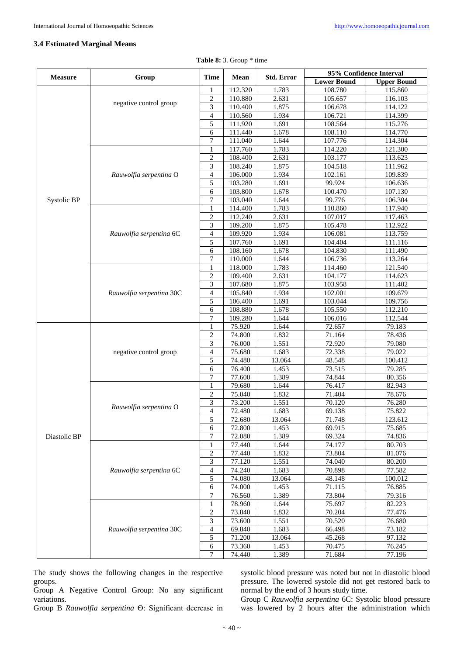#### **3.4 Estimated Marginal Means**

| Table 8: 3. Group * time |  |  |  |  |
|--------------------------|--|--|--|--|
|--------------------------|--|--|--|--|

| <b>Measure</b> |                          | <b>Time</b>              | <b>Mean</b> | <b>Std. Error</b> | 95% Confidence Interval |                    |
|----------------|--------------------------|--------------------------|-------------|-------------------|-------------------------|--------------------|
|                | Group                    |                          |             |                   | <b>Lower Bound</b>      | <b>Upper Bound</b> |
|                |                          | 1                        | 112.320     | 1.783             | 108.780                 | 115.860            |
|                |                          | $\overline{c}$           | 110.880     | 2.631             | 105.657                 | 116.103            |
|                | negative control group   | 3                        | 110.400     | 1.875             | 106.678                 | 114.122            |
|                |                          | $\overline{4}$           | 110.560     | 1.934             | 106.721                 | 114.399            |
|                |                          | 5                        | 111.920     | 1.691             | 108.564                 | 115.276            |
|                |                          | 6                        | 111.440     | 1.678             | 108.110                 | 114.770            |
|                |                          | 7                        | 111.040     | 1.644             | 107.776                 | 114.304            |
|                |                          | 1                        | 117.760     | 1.783             | 114.220                 | 121.300            |
|                |                          | $\overline{2}$           | 108.400     | 2.631             | 103.177                 | 113.623            |
|                |                          | 3                        | 108.240     | 1.875             | 104.518                 | 111.962            |
|                | Rauwolfia serpentina O   | $\overline{4}$           | 106.000     | 1.934             | 102.161                 | 109.839            |
|                |                          | 5                        | 103.280     | 1.691             | 99.924                  | 106.636            |
|                |                          | 6                        | 103.800     | 1.678             | 100.470                 | 107.130            |
| Systolic BP    |                          | 7                        | 103.040     | 1.644             | 99.776                  | 106.304            |
|                |                          | $\mathbf{1}$             | 114.400     | 1.783             | 110.860                 | 117.940            |
|                |                          | 2                        | 112.240     | 2.631             | 107.017                 | 117.463            |
|                |                          | 3                        | 109.200     | 1.875             | 105.478                 | 112.922            |
|                | Rauwolfia serpentina 6C  | $\overline{4}$           | 109.920     | 1.934             | 106.081                 | 113.759            |
|                |                          | 5                        | 107.760     | 1.691             | 104.404                 | 111.116            |
|                |                          | 6                        | 108.160     | 1.678             | 104.830                 | 111.490            |
|                |                          | 7                        | 110.000     | 1.644             | 106.736                 | 113.264            |
|                |                          | 1                        | 118.000     | 1.783             | 114.460                 | 121.540            |
|                |                          | $\overline{c}$           | 109.400     | 2.631             | 104.177                 | 114.623            |
|                |                          | 3                        | 107.680     | 1.875             | 103.958                 | 111.402            |
|                | Rauwolfia serpentina 30C | $\overline{4}$           | 105.840     | 1.934             | 102.001                 | 109.679            |
|                |                          | 5                        | 106.400     | 1.691             | 103.044                 | 109.756            |
|                |                          | 6                        | 108.880     | 1.678             | 105.550                 | 112.210            |
|                |                          | 7                        | 109.280     | 1.644             | 106.016                 | 112.544            |
|                |                          | 1                        | 75.920      | 1.644             | 72.657                  | 79.183             |
|                |                          | $\overline{c}$           | 74.800      | 1.832             | 71.164                  | 78.436             |
|                |                          | 3                        | 76.000      | 1.551             | 72.920                  | 79.080             |
|                | negative control group   | $\overline{4}$           | 75.680      | 1.683             | 72.338                  | 79.022             |
|                |                          | 5                        | 74.480      | 13.064            | 48.548                  | 100.412            |
|                |                          | 6                        | 76.400      | 1.453             | 73.515                  | 79.285             |
|                |                          | 7                        | 77.600      | 1.389             | 74.844                  | 80.356             |
|                |                          | $\mathbf{1}$             | 79.680      | 1.644             | 76.417                  | 82.943             |
|                |                          | $\overline{c}$           | 75.040      | 1.832             | 71.404                  | 78.676             |
|                |                          | 3                        | 73.200      | 1.551             | 70.120                  | 76.280             |
|                | Rauwolfia serpentina O   | $\overline{\mathcal{L}}$ | 72.480      | 1.683             | 69.138                  | 75.822             |
|                |                          | 5                        | 72.680      | 13.064            | 71.748                  | 123.612            |
|                |                          | 6                        | 72.800      | 1.453             | 69.915                  | 75.685             |
| Diastolic BP   |                          | 7                        | 72.080      | 1.389             | 69.324                  | 74.836             |
|                |                          | 1                        | 77.440      | 1.644             | 74.177                  | 80.703             |
|                |                          | $\overline{\mathbf{c}}$  | 77.440      | 1.832             | 73.804                  | 81.076             |
|                |                          | 3                        | 77.120      | 1.551             | 74.040                  | 80.200             |
|                | Rauwolfia serpentina 6C  | 4                        | 74.240      | 1.683             | 70.898                  | 77.582             |
|                |                          | 5                        | 74.080      | 13.064            | 48.148                  | 100.012            |
|                |                          | 6                        | 74.000      | 1.453             | 71.115                  | 76.885             |
|                |                          | $\tau$                   | 76.560      | 1.389             | 73.804                  | 79.316             |
|                |                          | 1                        | 78.960      | 1.644             | 75.697                  | 82.223             |
|                |                          | $\overline{c}$           | 73.840      | 1.832             | 70.204                  | 77.476             |
|                |                          | 3                        | 73.600      | 1.551             | 70.520                  | 76.680             |
|                | Rauwolfia serpentina 30C | $\overline{4}$           | 69.840      | 1.683             | 66.498                  | 73.182             |
|                |                          | 5                        | 71.200      | 13.064            | 45.268                  | 97.132             |
|                |                          | 6                        | 73.360      | 1.453             | 70.475                  | 76.245             |
|                |                          | 7                        | 74.440      | 1.389             | 71.684                  | 77.196             |
|                |                          |                          |             |                   |                         |                    |

The study shows the following changes in the respective groups.

Group A Negative Control Group: No any significant variations.

Group B *Rauwolfia serpentina* Ѳ: Significant decrease in

systolic blood pressure was noted but not in diastolic blood pressure. The lowered systole did not get restored back to normal by the end of 3 hours study time.

Group C *Rauwolfia serpentina* 6C: Systolic blood pressure was lowered by 2 hours after the administration which